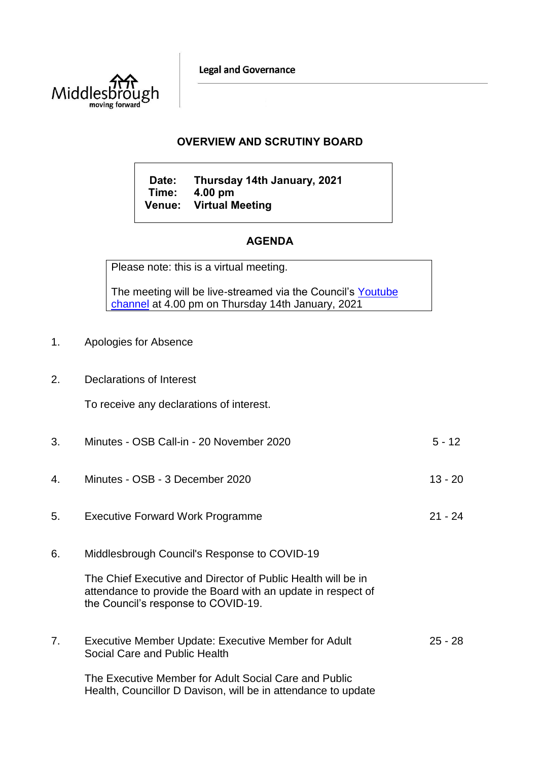**Legal and Governance** 



## **OVERVIEW AND SCRUTINY BOARD**

**Date: Thursday 14th January, 2021 Time: 4.00 pm Venue: Virtual Meeting**

## **AGENDA**

Please note: this is a virtual meeting.

The meeting will be live-streamed via the Council's Youtube [channel](https://www.youtube.com/user/middlesboroughcouncil) at  $\frac{4.00 \text{ pm}}{201}$  on Thursday 14th January, 2021

- 1. Apologies for Absence
- 2. Declarations of Interest

To receive any declarations of interest.

| 3. | Minutes - OSB Call-in - 20 November 2020                                                                                                                            | $5 - 12$  |
|----|---------------------------------------------------------------------------------------------------------------------------------------------------------------------|-----------|
| 4. | Minutes - OSB - 3 December 2020                                                                                                                                     | $13 - 20$ |
| 5. | <b>Executive Forward Work Programme</b>                                                                                                                             | $21 - 24$ |
| 6. | Middlesbrough Council's Response to COVID-19                                                                                                                        |           |
|    | The Chief Executive and Director of Public Health will be in<br>attendance to provide the Board with an update in respect of<br>the Council's response to COVID-19. |           |
| 7. | Executive Member Update: Executive Member for Adult<br>Social Care and Public Health                                                                                | $25 - 28$ |
|    | The Executive Member for Adult Social Care and Public<br>Health, Councillor D Davison, will be in attendance to update                                              |           |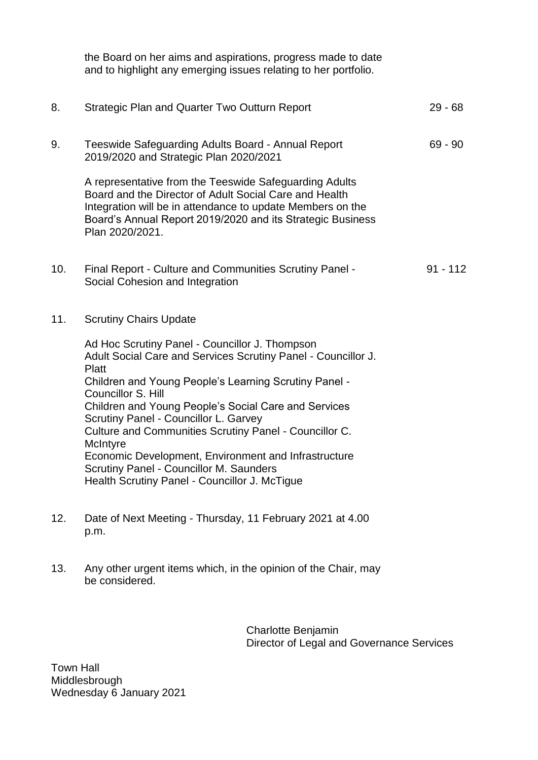|     | the Board on her aims and aspirations, progress made to date<br>and to highlight any emerging issues relating to her portfolio.                                                                                                                                                                                                                                                                                                                                                                                                           |            |
|-----|-------------------------------------------------------------------------------------------------------------------------------------------------------------------------------------------------------------------------------------------------------------------------------------------------------------------------------------------------------------------------------------------------------------------------------------------------------------------------------------------------------------------------------------------|------------|
| 8.  | <b>Strategic Plan and Quarter Two Outturn Report</b>                                                                                                                                                                                                                                                                                                                                                                                                                                                                                      | $29 - 68$  |
| 9.  | Teeswide Safeguarding Adults Board - Annual Report<br>2019/2020 and Strategic Plan 2020/2021                                                                                                                                                                                                                                                                                                                                                                                                                                              | $69 - 90$  |
|     | A representative from the Teeswide Safeguarding Adults<br>Board and the Director of Adult Social Care and Health<br>Integration will be in attendance to update Members on the<br>Board's Annual Report 2019/2020 and its Strategic Business<br>Plan 2020/2021.                                                                                                                                                                                                                                                                           |            |
| 10. | Final Report - Culture and Communities Scrutiny Panel -<br>Social Cohesion and Integration                                                                                                                                                                                                                                                                                                                                                                                                                                                | $91 - 112$ |
| 11. | <b>Scrutiny Chairs Update</b>                                                                                                                                                                                                                                                                                                                                                                                                                                                                                                             |            |
|     | Ad Hoc Scrutiny Panel - Councillor J. Thompson<br>Adult Social Care and Services Scrutiny Panel - Councillor J.<br>Platt<br>Children and Young People's Learning Scrutiny Panel -<br>Councillor S. Hill<br>Children and Young People's Social Care and Services<br>Scrutiny Panel - Councillor L. Garvey<br>Culture and Communities Scrutiny Panel - Councillor C.<br>McIntyre<br>Economic Development, Environment and Infrastructure<br><b>Scrutiny Panel - Councillor M. Saunders</b><br>Health Scrutiny Panel - Councillor J. McTigue |            |
| 12. | Date of Next Meeting - Thursday, 11 February 2021 at 4.00<br>p.m.                                                                                                                                                                                                                                                                                                                                                                                                                                                                         |            |

13. Any other urgent items which, in the opinion of the Chair, may be considered.

> Charlotte Benjamin Director of Legal and Governance Services

Town Hall Middlesbrough Wednesday 6 January 2021